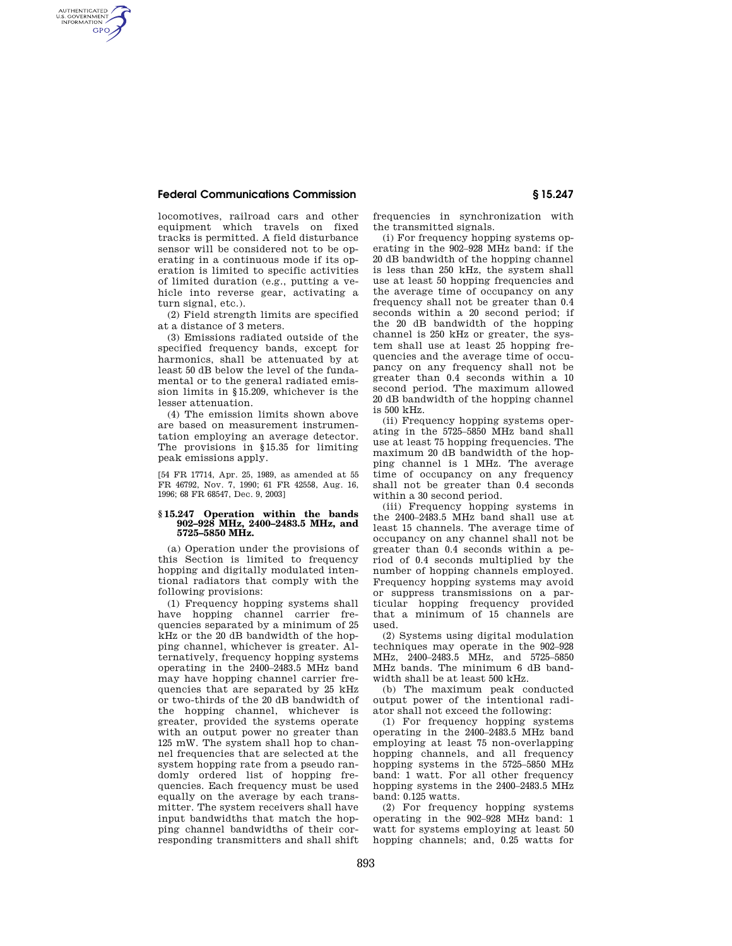## **Federal Communications Commission § 15.247**

AUTHENTICATED<br>U.S. GOVERNMENT<br>INFORMATION **GPO** 

> locomotives, railroad cars and other equipment which travels on fixed tracks is permitted. A field disturbance sensor will be considered not to be operating in a continuous mode if its operation is limited to specific activities of limited duration (e.g., putting a vehicle into reverse gear, activating a turn signal, etc.).

(2) Field strength limits are specified at a distance of 3 meters.

(3) Emissions radiated outside of the specified frequency bands, except for harmonics, shall be attenuated by at least 50 dB below the level of the fundamental or to the general radiated emission limits in §15.209, whichever is the lesser attenuation.

(4) The emission limits shown above are based on measurement instrumentation employing an average detector. The provisions in §15.35 for limiting peak emissions apply.

[54 FR 17714, Apr. 25, 1989, as amended at 55 FR 46792, Nov. 7, 1990; 61 FR 42558, Aug. 16, 1996; 68 FR 68547, Dec. 9, 2003]

## **§ 15.247 Operation within the bands 902–928 MHz, 2400–2483.5 MHz, and 5725–5850 MHz.**

(a) Operation under the provisions of this Section is limited to frequency hopping and digitally modulated intentional radiators that comply with the following provisions:

(1) Frequency hopping systems shall have hopping channel carrier frequencies separated by a minimum of 25 kHz or the 20 dB bandwidth of the hopping channel, whichever is greater. Alternatively, frequency hopping systems operating in the 2400–2483.5 MHz band may have hopping channel carrier frequencies that are separated by 25 kHz or two-thirds of the 20 dB bandwidth of the hopping channel, whichever is greater, provided the systems operate with an output power no greater than 125 mW. The system shall hop to channel frequencies that are selected at the system hopping rate from a pseudo randomly ordered list of hopping frequencies. Each frequency must be used equally on the average by each transmitter. The system receivers shall have input bandwidths that match the hopping channel bandwidths of their corresponding transmitters and shall shift

frequencies in synchronization with the transmitted signals.

(i) For frequency hopping systems operating in the 902–928 MHz band: if the 20 dB bandwidth of the hopping channel is less than 250 kHz, the system shall use at least 50 hopping frequencies and the average time of occupancy on any frequency shall not be greater than 0.4 seconds within a 20 second period; if the 20 dB bandwidth of the hopping channel is 250 kHz or greater, the system shall use at least 25 hopping frequencies and the average time of occupancy on any frequency shall not be greater than 0.4 seconds within a 10 second period. The maximum allowed 20 dB bandwidth of the hopping channel is 500 kHz.

(ii) Frequency hopping systems operating in the 5725–5850 MHz band shall use at least 75 hopping frequencies. The maximum 20 dB bandwidth of the hopping channel is 1 MHz. The average time of occupancy on any frequency shall not be greater than 0.4 seconds within a 30 second period.

(iii) Frequency hopping systems in the 2400–2483.5 MHz band shall use at least 15 channels. The average time of occupancy on any channel shall not be greater than 0.4 seconds within a period of 0.4 seconds multiplied by the number of hopping channels employed. Frequency hopping systems may avoid or suppress transmissions on a particular hopping frequency provided that a minimum of 15 channels are used.

(2) Systems using digital modulation techniques may operate in the 902–928 MHz, 2400–2483.5 MHz, and 5725–5850 MHz bands. The minimum 6 dB bandwidth shall be at least 500 kHz.

(b) The maximum peak conducted output power of the intentional radiator shall not exceed the following:

(1) For frequency hopping systems operating in the 2400–2483.5 MHz band employing at least 75 non-overlapping hopping channels, and all frequency hopping systems in the 5725–5850 MHz band: 1 watt. For all other frequency hopping systems in the 2400–2483.5 MHz band: 0.125 watts.

(2) For frequency hopping systems operating in the 902–928 MHz band: 1 watt for systems employing at least 50 hopping channels; and, 0.25 watts for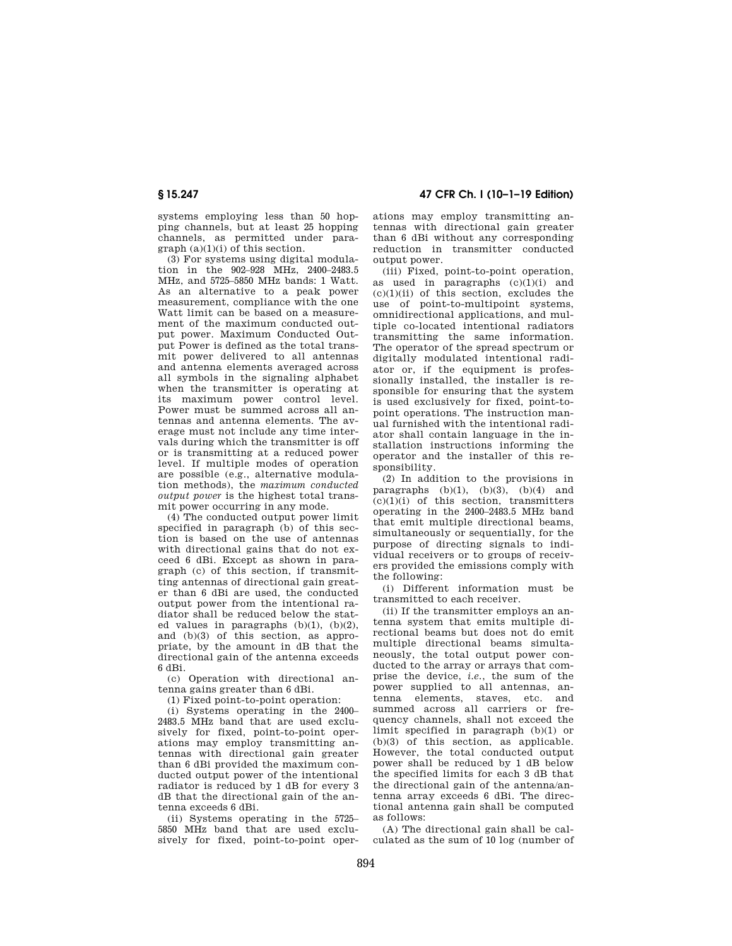systems employing less than 50 hopping channels, but at least 25 hopping channels, as permitted under paragraph (a)(1)(i) of this section.

(3) For systems using digital modulation in the 902–928 MHz, 2400–2483.5 MHz, and 5725–5850 MHz bands: 1 Watt. As an alternative to a peak power measurement, compliance with the one Watt limit can be based on a measurement of the maximum conducted output power. Maximum Conducted Output Power is defined as the total transmit power delivered to all antennas and antenna elements averaged across all symbols in the signaling alphabet when the transmitter is operating at its maximum power control level. Power must be summed across all antennas and antenna elements. The average must not include any time intervals during which the transmitter is off or is transmitting at a reduced power level. If multiple modes of operation are possible (e.g., alternative modulation methods), the *maximum conducted output power* is the highest total transmit power occurring in any mode.

(4) The conducted output power limit specified in paragraph (b) of this section is based on the use of antennas with directional gains that do not exceed 6 dBi. Except as shown in paragraph (c) of this section, if transmitting antennas of directional gain greater than 6 dBi are used, the conducted output power from the intentional radiator shall be reduced below the stated values in paragraphs  $(b)(1)$ ,  $(b)(2)$ , and (b)(3) of this section, as appropriate, by the amount in dB that the directional gain of the antenna exceeds 6 dBi.

(c) Operation with directional antenna gains greater than 6 dBi.

(1) Fixed point-to-point operation:

(i) Systems operating in the 2400– 2483.5 MHz band that are used exclusively for fixed, point-to-point operations may employ transmitting antennas with directional gain greater than 6 dBi provided the maximum conducted output power of the intentional radiator is reduced by 1 dB for every 3 dB that the directional gain of the antenna exceeds 6 dBi.

(ii) Systems operating in the 5725– 5850 MHz band that are used exclusively for fixed, point-to-point oper-

**§ 15.247 47 CFR Ch. I (10–1–19 Edition)** 

ations may employ transmitting antennas with directional gain greater than 6 dBi without any corresponding reduction in transmitter conducted output power.

(iii) Fixed, point-to-point operation, as used in paragraphs (c)(1)(i) and  $(c)(1)(ii)$  of this section, excludes the use of point-to-multipoint systems, omnidirectional applications, and multiple co-located intentional radiators transmitting the same information. The operator of the spread spectrum or digitally modulated intentional radiator or, if the equipment is professionally installed, the installer is responsible for ensuring that the system is used exclusively for fixed, point-topoint operations. The instruction manual furnished with the intentional radiator shall contain language in the installation instructions informing the operator and the installer of this responsibility.

(2) In addition to the provisions in paragraphs  $(b)(1)$ ,  $(b)(3)$ ,  $(b)(4)$  and  $(c)(1)(i)$  of this section, transmitters operating in the 2400–2483.5 MHz band that emit multiple directional beams, simultaneously or sequentially, for the purpose of directing signals to individual receivers or to groups of receivers provided the emissions comply with the following:

(i) Different information must be transmitted to each receiver.

(ii) If the transmitter employs an antenna system that emits multiple directional beams but does not do emit multiple directional beams simultaneously, the total output power conducted to the array or arrays that comprise the device, *i.e.*, the sum of the power supplied to all antennas, antenna elements, staves, etc. and summed across all carriers or frequency channels, shall not exceed the limit specified in paragraph (b)(1) or (b)(3) of this section, as applicable. However, the total conducted output power shall be reduced by 1 dB below the specified limits for each 3 dB that the directional gain of the antenna/antenna array exceeds 6 dBi. The directional antenna gain shall be computed as follows:

(A) The directional gain shall be calculated as the sum of 10 log (number of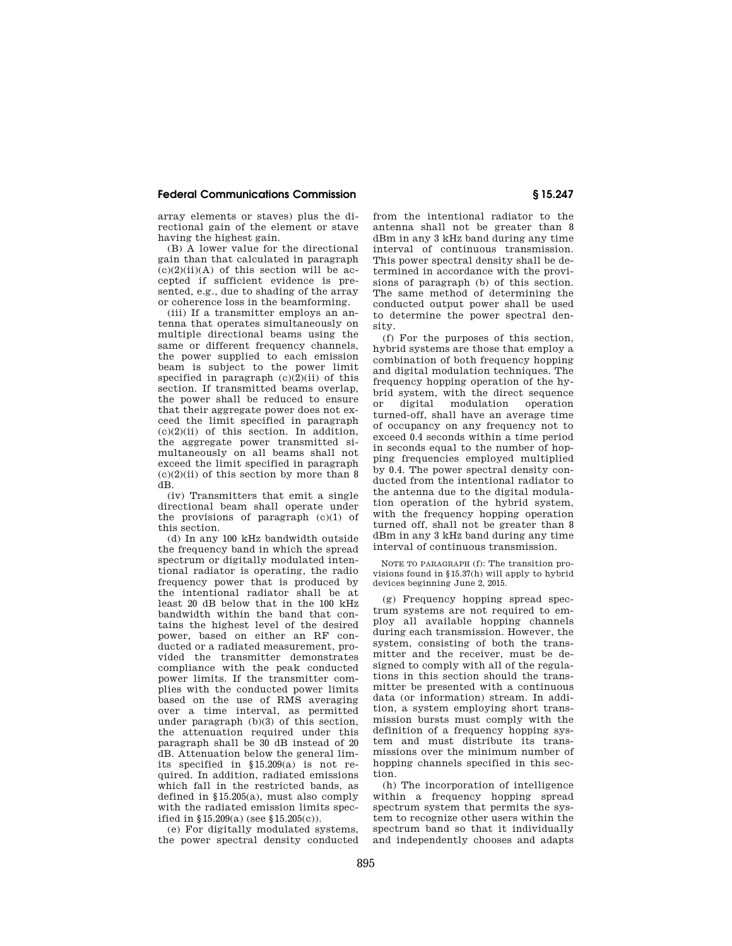## **Federal Communications Commission § 15.247**

array elements or staves) plus the directional gain of the element or stave having the highest gain.

(B) A lower value for the directional gain than that calculated in paragraph  $(c)(2)(ii)(A)$  of this section will be accepted if sufficient evidence is presented, e.g., due to shading of the array or coherence loss in the beamforming.

(iii) If a transmitter employs an antenna that operates simultaneously on multiple directional beams using the same or different frequency channels, the power supplied to each emission beam is subject to the power limit specified in paragraph  $(c)(2)(ii)$  of this section. If transmitted beams overlap, the power shall be reduced to ensure that their aggregate power does not exceed the limit specified in paragraph  $(c)(2)(ii)$  of this section. In addition, the aggregate power transmitted simultaneously on all beams shall not exceed the limit specified in paragraph  $(c)(2)(ii)$  of this section by more than 8 dB.

(iv) Transmitters that emit a single directional beam shall operate under the provisions of paragraph  $(c)(1)$  of this section.

(d) In any 100 kHz bandwidth outside the frequency band in which the spread spectrum or digitally modulated intentional radiator is operating, the radio frequency power that is produced by the intentional radiator shall be at least 20 dB below that in the 100 kHz bandwidth within the band that contains the highest level of the desired power, based on either an RF conducted or a radiated measurement, provided the transmitter demonstrates compliance with the peak conducted power limits. If the transmitter complies with the conducted power limits based on the use of RMS averaging over a time interval, as permitted under paragraph (b)(3) of this section, the attenuation required under this paragraph shall be 30 dB instead of 20 dB. Attenuation below the general limits specified in §15.209(a) is not required. In addition, radiated emissions which fall in the restricted bands, as defined in §15.205(a), must also comply with the radiated emission limits specified in §15.209(a) (see §15.205(c)).

(e) For digitally modulated systems, the power spectral density conducted from the intentional radiator to the antenna shall not be greater than 8 dBm in any 3 kHz band during any time interval of continuous transmission. This power spectral density shall be determined in accordance with the provisions of paragraph (b) of this section. The same method of determining the conducted output power shall be used to determine the power spectral density.

(f) For the purposes of this section, hybrid systems are those that employ a combination of both frequency hopping and digital modulation techniques. The frequency hopping operation of the hybrid system, with the direct sequence or digital modulation operation turned-off, shall have an average time of occupancy on any frequency not to exceed 0.4 seconds within a time period in seconds equal to the number of hopping frequencies employed multiplied by 0.4. The power spectral density conducted from the intentional radiator to the antenna due to the digital modulation operation of the hybrid system, with the frequency hopping operation turned off, shall not be greater than 8 dBm in any 3 kHz band during any time interval of continuous transmission.

NOTE TO PARAGRAPH (f): The transition provisions found in §15.37(h) will apply to hybrid devices beginning June 2, 2015.

(g) Frequency hopping spread spectrum systems are not required to employ all available hopping channels during each transmission. However, the system, consisting of both the transmitter and the receiver, must be designed to comply with all of the regulations in this section should the transmitter be presented with a continuous data (or information) stream. In addition, a system employing short transmission bursts must comply with the definition of a frequency hopping system and must distribute its transmissions over the minimum number of hopping channels specified in this section.

(h) The incorporation of intelligence within a frequency hopping spread spectrum system that permits the system to recognize other users within the spectrum band so that it individually and independently chooses and adapts